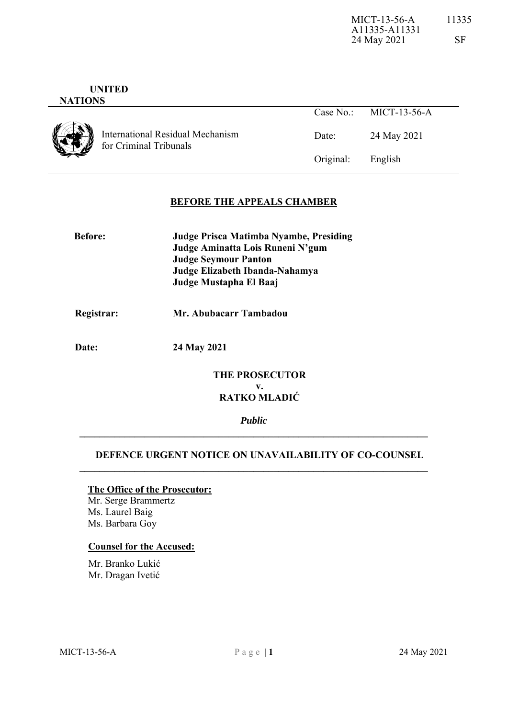#### **UNITED NATIONS**

International Residual Mechanism for Criminal Tribunals

| Case No $\cdot$ | MICT-13-56-A |
|-----------------|--------------|
| Date:           | 24 May 2021  |
| Original:       | English      |

# **BEFORE THE APPEALS CHAMBER**

| <b>Before:</b> | Judge Prisca Matimba Nyambe, Presiding |
|----------------|----------------------------------------|
|                | Judge Aminatta Lois Runeni N'gum       |
|                | <b>Judge Seymour Panton</b>            |
|                | Judge Elizabeth Ibanda-Nahamya         |
|                | Judge Mustapha El Baaj                 |

# **Registrar: Mr. Abubacarr Tambadou**

 **Date: 24 May 2021** 

# **THE PROSECUTOR v. RATKO MLADIĆ**

*Public*  **\_\_\_\_\_\_\_\_\_\_\_\_\_\_\_\_\_\_\_\_\_\_\_\_\_\_\_\_\_\_\_\_\_\_\_\_\_\_\_\_\_\_\_\_\_\_\_\_\_\_\_\_\_\_\_\_\_\_\_\_\_\_\_\_\_\_\_\_\_\_** 

## **DEFENCE URGENT NOTICE ON UNAVAILABILITY OF CO-COUNSEL**

**\_\_\_\_\_\_\_\_\_\_\_\_\_\_\_\_\_\_\_\_\_\_\_\_\_\_\_\_\_\_\_\_\_\_\_\_\_\_\_\_\_\_\_\_\_\_\_\_\_\_\_\_\_\_\_\_\_\_\_\_\_\_\_\_\_\_\_\_\_\_** 

### **The Office of the Prosecutor:**

Mr. Serge Brammertz Ms. Laurel Baig Ms. Barbara Goy

### **Counsel for the Accused:**

 Mr. Branko Lukić Mr. Dragan Ivetić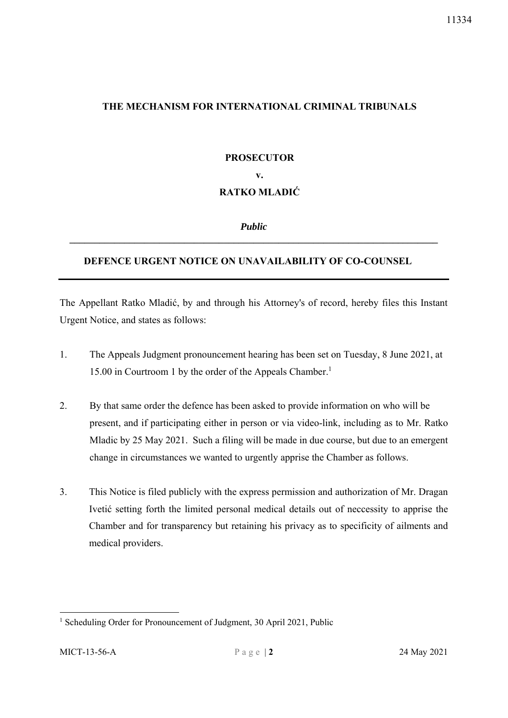# **THE MECHANISM FOR INTERNATIONAL CRIMINAL TRIBUNALS**

# **PROSECUTOR v. RATKO MLADIĆ**

*Public*  **\_\_\_\_\_\_\_\_\_\_\_\_\_\_\_\_\_\_\_\_\_\_\_\_\_\_\_\_\_\_\_\_\_\_\_\_\_\_\_\_\_\_\_\_\_\_\_\_\_\_\_\_\_\_\_\_\_\_\_\_\_\_\_\_\_\_\_\_\_\_\_\_\_\_** 

# **DEFENCE URGENT NOTICE ON UNAVAILABILITY OF CO-COUNSEL**

The Appellant Ratko Mladić, by and through his Attorney's of record, hereby files this Instant Urgent Notice, and states as follows:

- 1. The Appeals Judgment pronouncement hearing has been set on Tuesday, 8 June 2021, at 15.00 in Courtroom 1 by the order of the Appeals Chamber.1
- 2. By that same order the defence has been asked to provide information on who will be present, and if participating either in person or via video-link, including as to Mr. Ratko Mladic by 25 May 2021. Such a filing will be made in due course, but due to an emergent change in circumstances we wanted to urgently apprise the Chamber as follows.
- 3. This Notice is filed publicly with the express permission and authorization of Mr. Dragan Ivetić setting forth the limited personal medical details out of neccessity to apprise the Chamber and for transparency but retaining his privacy as to specificity of ailments and medical providers.

1

11334

<sup>&</sup>lt;sup>1</sup> Scheduling Order for Pronouncement of Judgment, 30 April 2021, Public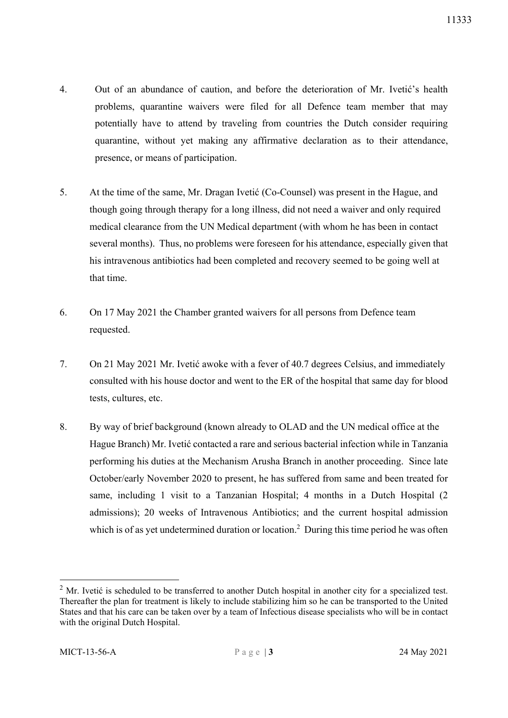- 4. Out of an abundance of caution, and before the deterioration of Mr. Ivetić's health problems, quarantine waivers were filed for all Defence team member that may potentially have to attend by traveling from countries the Dutch consider requiring quarantine, without yet making any affirmative declaration as to their attendance, presence, or means of participation.
- 5. At the time of the same, Mr. Dragan Ivetić (Co-Counsel) was present in the Hague, and though going through therapy for a long illness, did not need a waiver and only required medical clearance from the UN Medical department (with whom he has been in contact several months). Thus, no problems were foreseen for his attendance, especially given that his intravenous antibiotics had been completed and recovery seemed to be going well at that time.
- 6. On 17 May 2021 the Chamber granted waivers for all persons from Defence team requested.
- 7. On 21 May 2021 Mr. Ivetić awoke with a fever of 40.7 degrees Celsius, and immediately consulted with his house doctor and went to the ER of the hospital that same day for blood tests, cultures, etc.
- 8. By way of brief background (known already to OLAD and the UN medical office at the Hague Branch) Mr. Ivetić contacted a rare and serious bacterial infection while in Tanzania performing his duties at the Mechanism Arusha Branch in another proceeding. Since late October/early November 2020 to present, he has suffered from same and been treated for same, including 1 visit to a Tanzanian Hospital; 4 months in a Dutch Hospital (2 admissions); 20 weeks of Intravenous Antibiotics; and the current hospital admission which is of as yet undetermined duration or location.<sup>2</sup> During this time period he was often

-

<sup>&</sup>lt;sup>2</sup> Mr. Ivetić is scheduled to be transferred to another Dutch hospital in another city for a specialized test. Thereafter the plan for treatment is likely to include stabilizing him so he can be transported to the United States and that his care can be taken over by a team of Infectious disease specialists who will be in contact with the original Dutch Hospital.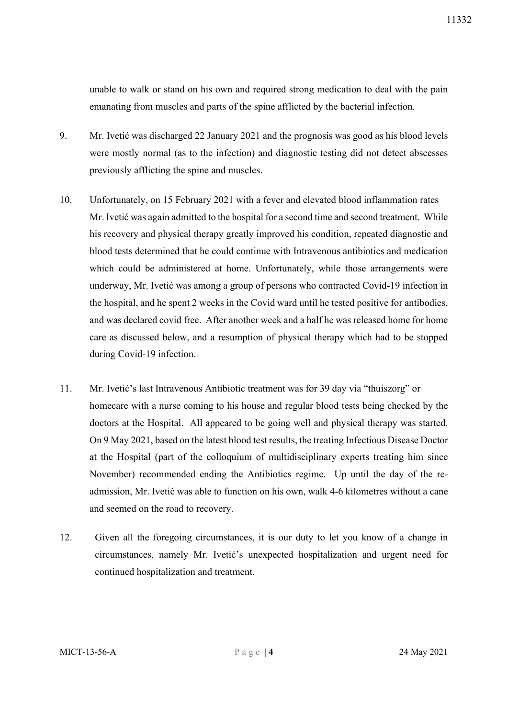unable to walk or stand on his own and required strong medication to deal with the pain emanating from muscles and parts of the spine afflicted by the bacterial infection.

- 9. Mr. Ivetić was discharged 22 January 2021 and the prognosis was good as his blood levels were mostly normal (as to the infection) and diagnostic testing did not detect abscesses previously afflicting the spine and muscles.
- 10. Unfortunately, on 15 February 2021 with a fever and elevated blood inflammation rates Mr. Ivetić was again admitted to the hospital for a second time and second treatment. While his recovery and physical therapy greatly improved his condition, repeated diagnostic and blood tests determined that he could continue with Intravenous antibiotics and medication which could be administered at home. Unfortunately, while those arrangements were underway, Mr. Ivetić was among a group of persons who contracted Covid-19 infection in the hospital, and he spent 2 weeks in the Covid ward until he tested positive for antibodies, and was declared covid free. After another week and a half he was released home for home care as discussed below, and a resumption of physical therapy which had to be stopped during Covid-19 infection.
- 11. Mr. Ivetić's last Intravenous Antibiotic treatment was for 39 day via "thuiszorg" or homecare with a nurse coming to his house and regular blood tests being checked by the doctors at the Hospital. All appeared to be going well and physical therapy was started. On 9 May 2021, based on the latest blood test results, the treating Infectious Disease Doctor at the Hospital (part of the colloquium of multidisciplinary experts treating him since November) recommended ending the Antibiotics regime. Up until the day of the readmission, Mr. Ivetić was able to function on his own, walk 4-6 kilometres without a cane and seemed on the road to recovery.
- 12. Given all the foregoing circumstances, it is our duty to let you know of a change in circumstances, namely Mr. Ivetić's unexpected hospitalization and urgent need for continued hospitalization and treatment.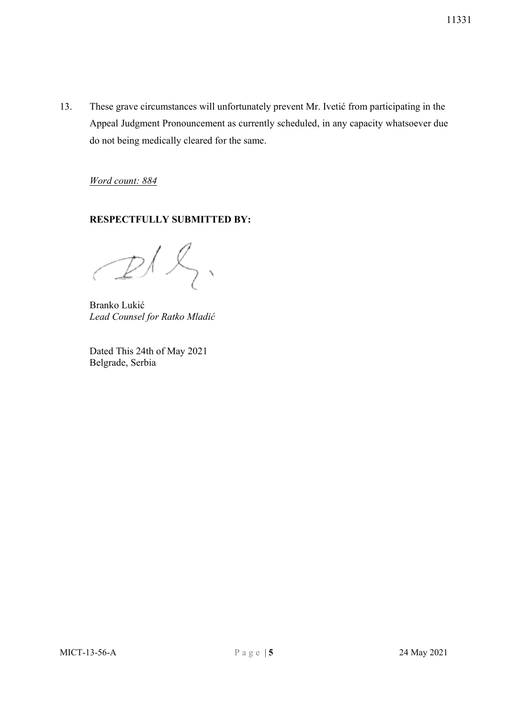13. These grave circumstances will unfortunately prevent Mr. Ivetić from participating in the Appeal Judgment Pronouncement as currently scheduled, in any capacity whatsoever due do not being medically cleared for the same.

*Word count: 884* 

# **RESPECTFULLY SUBMITTED BY:**

Branko Lukić  *Lead Counsel for Ratko Mladić* 

Dated This 24th of May 2021 Belgrade, Serbia